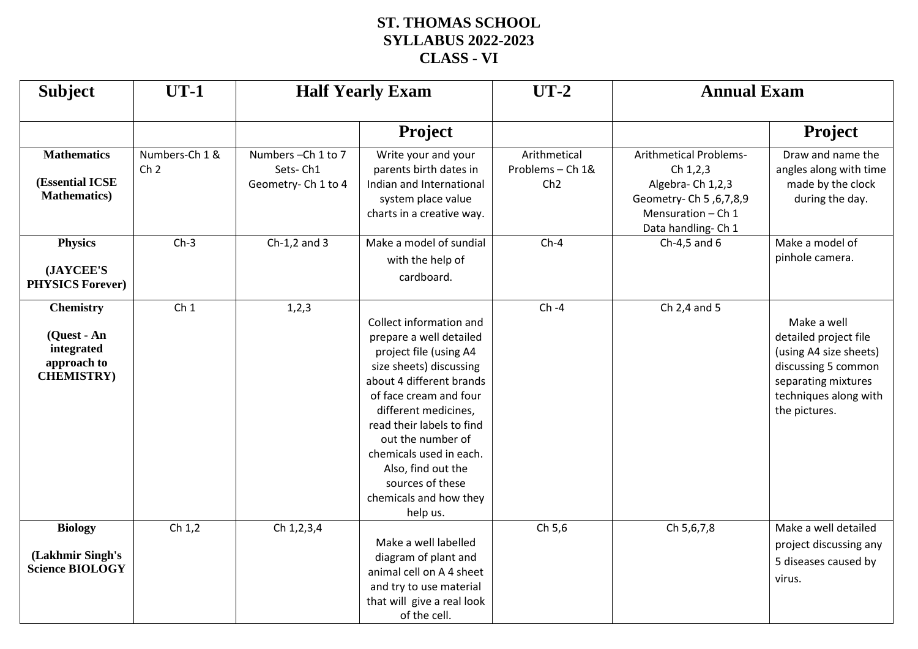## **ST. THOMAS SCHOOL SYLLABUS 2022-2023 CLASS - VI**

| <b>Subject</b>                                                                     | $UT-1$                            | <b>Half Yearly Exam</b>                             |                                                                                                                                                                                                                                                                                                                                                    | $UT-2$                                  | <b>Annual Exam</b>                                                                                                                         |                                                                                                                                                        |
|------------------------------------------------------------------------------------|-----------------------------------|-----------------------------------------------------|----------------------------------------------------------------------------------------------------------------------------------------------------------------------------------------------------------------------------------------------------------------------------------------------------------------------------------------------------|-----------------------------------------|--------------------------------------------------------------------------------------------------------------------------------------------|--------------------------------------------------------------------------------------------------------------------------------------------------------|
|                                                                                    |                                   |                                                     | <b>Project</b>                                                                                                                                                                                                                                                                                                                                     |                                         |                                                                                                                                            | Project                                                                                                                                                |
| <b>Mathematics</b><br>(Essential ICSE<br><b>Mathematics</b> )                      | Numbers-Ch 1 &<br>Ch <sub>2</sub> | Numbers-Ch 1 to 7<br>Sets-Ch1<br>Geometry-Ch 1 to 4 | Write your and your<br>parents birth dates in<br>Indian and International<br>system place value<br>charts in a creative way.                                                                                                                                                                                                                       | Arithmetical<br>Problems - Ch 1&<br>Ch2 | <b>Arithmetical Problems-</b><br>Ch 1,2,3<br>Algebra-Ch 1,2,3<br>Geometry- Ch 5, 6, 7, 8, 9<br>Mensuration $-$ Ch 1<br>Data handling- Ch 1 | Draw and name the<br>angles along with time<br>made by the clock<br>during the day.                                                                    |
| <b>Physics</b><br>(JAYCEE'S<br><b>PHYSICS Forever)</b>                             | $Ch-3$                            | $Ch-1,2$ and 3                                      | Make a model of sundial<br>with the help of<br>cardboard.                                                                                                                                                                                                                                                                                          | $Ch-4$                                  | Ch-4,5 and $6$                                                                                                                             | Make a model of<br>pinhole camera.                                                                                                                     |
| <b>Chemistry</b><br>(Quest - An<br>integrated<br>approach to<br><b>CHEMISTRY</b> ) | Ch <sub>1</sub>                   | 1,2,3                                               | Collect information and<br>prepare a well detailed<br>project file (using A4<br>size sheets) discussing<br>about 4 different brands<br>of face cream and four<br>different medicines,<br>read their labels to find<br>out the number of<br>chemicals used in each.<br>Also, find out the<br>sources of these<br>chemicals and how they<br>help us. | $Ch -4$                                 | Ch 2,4 and 5                                                                                                                               | Make a well<br>detailed project file<br>(using A4 size sheets)<br>discussing 5 common<br>separating mixtures<br>techniques along with<br>the pictures. |
| <b>Biology</b><br>(Lakhmir Singh's<br><b>Science BIOLOGY</b>                       | Ch $1,2$                          | Ch 1, 2, 3, 4                                       | Make a well labelled<br>diagram of plant and<br>animal cell on A 4 sheet<br>and try to use material<br>that will give a real look<br>of the cell.                                                                                                                                                                                                  | Ch 5,6                                  | Ch 5,6,7,8                                                                                                                                 | Make a well detailed<br>project discussing any<br>5 diseases caused by<br>virus.                                                                       |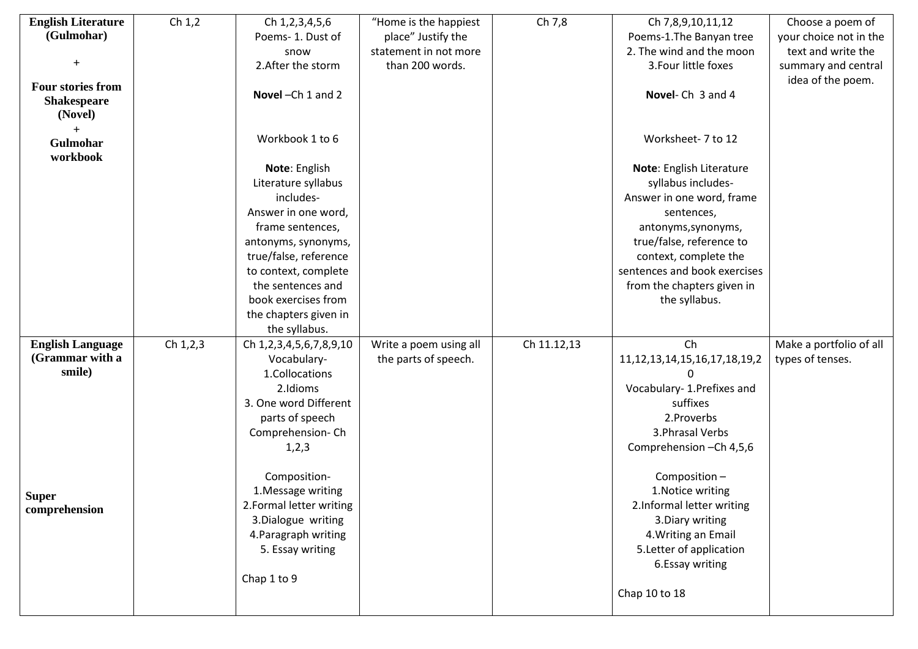| <b>English Literature</b>     | Ch $1,2$ | Ch 1, 2, 3, 4, 5, 6                            | "Home is the happiest  | Ch 7,8      | Ch 7,8,9,10,11,12                              | Choose a poem of        |
|-------------------------------|----------|------------------------------------------------|------------------------|-------------|------------------------------------------------|-------------------------|
| (Gulmohar)                    |          | Poems-1. Dust of                               | place" Justify the     |             | Poems-1. The Banyan tree                       | your choice not in the  |
|                               |          | snow                                           | statement in not more  |             | 2. The wind and the moon                       | text and write the      |
|                               |          | 2. After the storm                             | than 200 words.        |             | 3. Four little foxes                           | summary and central     |
| <b>Four stories from</b>      |          |                                                |                        |             |                                                | idea of the poem.       |
| <b>Shakespeare</b><br>(Novel) |          | Novel-Ch 1 and 2                               |                        |             | Novel-Ch 3 and 4                               |                         |
| Gulmohar<br>workbook          |          | Workbook 1 to 6                                |                        |             | Worksheet- 7 to 12                             |                         |
|                               |          | Note: English                                  |                        |             | Note: English Literature                       |                         |
|                               |          | Literature syllabus                            |                        |             | syllabus includes-                             |                         |
|                               |          | includes-                                      |                        |             | Answer in one word, frame                      |                         |
|                               |          | Answer in one word,                            |                        |             | sentences,                                     |                         |
|                               |          | frame sentences,                               |                        |             | antonyms, synonyms,                            |                         |
|                               |          | antonyms, synonyms,                            |                        |             | true/false, reference to                       |                         |
|                               |          | true/false, reference                          |                        |             | context, complete the                          |                         |
|                               |          | to context, complete                           |                        |             | sentences and book exercises                   |                         |
|                               |          | the sentences and                              |                        |             | from the chapters given in                     |                         |
|                               |          | book exercises from                            |                        |             | the syllabus.                                  |                         |
|                               |          | the chapters given in                          |                        |             |                                                |                         |
|                               |          | the syllabus.                                  |                        |             |                                                |                         |
| <b>English Language</b>       | Ch 1,2,3 | Ch 1, 2, 3, 4, 5, 6, 7, 8, 9, 10               | Write a poem using all | Ch 11.12,13 | Ch                                             | Make a portfolio of all |
| (Grammar with a               |          | Vocabulary-                                    | the parts of speech.   |             | 11, 12, 13, 14, 15, 16, 17, 18, 19, 2          | types of tenses.        |
| smile)                        |          | 1.Collocations                                 |                        |             |                                                |                         |
|                               |          | 2.Idioms                                       |                        |             | Vocabulary- 1. Prefixes and                    |                         |
|                               |          | 3. One word Different                          |                        |             | suffixes                                       |                         |
|                               |          | parts of speech                                |                        |             | 2. Proverbs                                    |                         |
|                               |          | Comprehension-Ch                               |                        |             | 3. Phrasal Verbs                               |                         |
|                               |          | 1, 2, 3                                        |                        |             | Comprehension - Ch 4,5,6                       |                         |
|                               |          |                                                |                        |             |                                                |                         |
|                               |          | Composition-                                   |                        |             | Composition-                                   |                         |
| <b>Super</b>                  |          | 1. Message writing                             |                        |             | 1. Notice writing<br>2.Informal letter writing |                         |
| comprehension                 |          | 2. Formal letter writing<br>3.Dialogue writing |                        |             | 3. Diary writing                               |                         |
|                               |          | 4. Paragraph writing                           |                        |             | 4. Writing an Email                            |                         |
|                               |          | 5. Essay writing                               |                        |             | 5. Letter of application                       |                         |
|                               |          |                                                |                        |             | 6.Essay writing                                |                         |
|                               |          | Chap 1 to 9                                    |                        |             |                                                |                         |
|                               |          |                                                |                        |             | Chap 10 to 18                                  |                         |
|                               |          |                                                |                        |             |                                                |                         |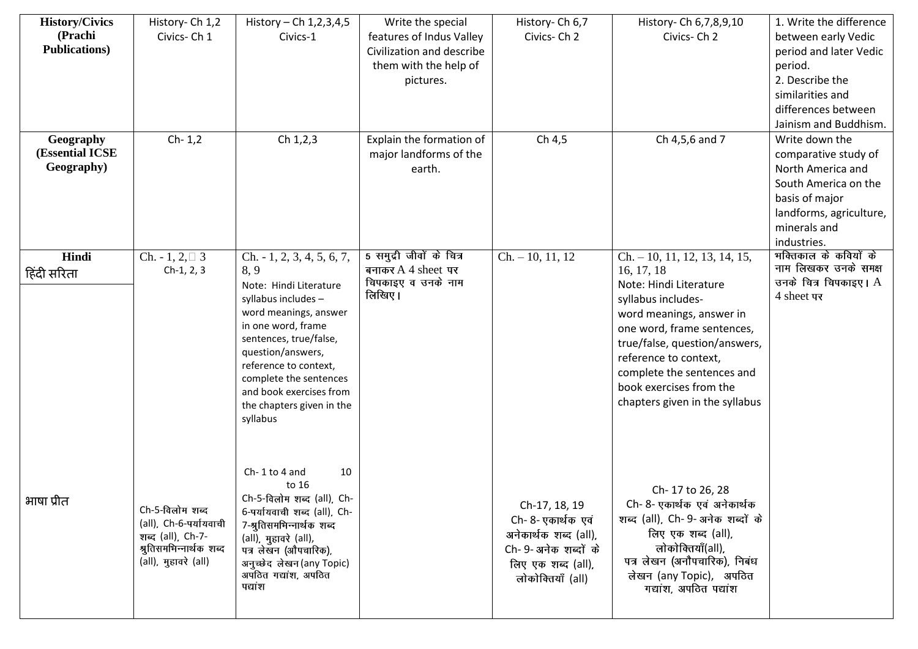| <b>History/Civics</b><br>(Prachi<br><b>Publications</b> ) | History-Ch 1,2<br>Civics-Ch 1                                                                                     | History – Ch $1, 2, 3, 4, 5$<br>Civics-1                                                                                                                                                                                                                                                                 | Write the special<br>features of Indus Valley<br>Civilization and describe<br>them with the help of<br>pictures. | History-Ch 6,7<br>Civics-Ch 2                                                                                                  | History- Ch 6,7,8,9,10<br>Civics-Ch 2                                                                                                                                                                                                                                                                       | 1. Write the difference<br>between early Vedic<br>period and later Vedic<br>period.<br>2. Describe the<br>similarities and<br>differences between<br>Jainism and Buddhism. |
|-----------------------------------------------------------|-------------------------------------------------------------------------------------------------------------------|----------------------------------------------------------------------------------------------------------------------------------------------------------------------------------------------------------------------------------------------------------------------------------------------------------|------------------------------------------------------------------------------------------------------------------|--------------------------------------------------------------------------------------------------------------------------------|-------------------------------------------------------------------------------------------------------------------------------------------------------------------------------------------------------------------------------------------------------------------------------------------------------------|----------------------------------------------------------------------------------------------------------------------------------------------------------------------------|
| Geography<br>(Essential ICSE<br>Geography)                | $Ch-1,2$                                                                                                          | Ch 1,2,3                                                                                                                                                                                                                                                                                                 | Explain the formation of<br>major landforms of the<br>earth.                                                     | Ch 4,5                                                                                                                         | Ch 4,5,6 and 7                                                                                                                                                                                                                                                                                              | Write down the<br>comparative study of<br>North America and<br>South America on the<br>basis of major<br>landforms, agriculture,<br>minerals and<br>industries.            |
| Hindi<br>हिंदी सरिता                                      | Ch. $-1, 2, \square$ 3<br>$Ch-1, 2, 3$                                                                            | $Ch. -1, 2, 3, 4, 5, 6, 7,$<br>8,9<br>Note: Hindi Literature<br>syllabus includes -<br>word meanings, answer<br>in one word, frame<br>sentences, true/false,<br>question/answers,<br>reference to context,<br>complete the sentences<br>and book exercises from<br>the chapters given in the<br>syllabus | 5 समुद्री जीवों के वित्र<br>बनाकर $A$ 4 sheet पर<br>चिपकाइए व उनके नाम<br>लिखिए।                                 | $Ch. -10, 11, 12$                                                                                                              | $Ch. -10, 11, 12, 13, 14, 15,$<br>16, 17, 18<br>Note: Hindi Literature<br>syllabus includes-<br>word meanings, answer in<br>one word, frame sentences,<br>true/false, question/answers,<br>reference to context,<br>complete the sentences and<br>book exercises from the<br>chapters given in the syllabus | भक्तिकाल के कवियों के<br>नाम लिखकर उनके समक्ष<br>उनके चित्र चिपकाइए। A<br>4 sheet पर                                                                                       |
| भाषा प्रीत                                                | Ch-5-विलोम शब्द<br>(all), Ch-6-पर्यायवाची<br>शब्द (all), Ch-7-<br>श्रुतिसमभिन्नार्थक शब्द<br>(all), मुहावरे (all) | Ch-1 to 4 and<br>10<br>to 16<br>Ch-5-विलोम शब्द (all), Ch-<br>6-पर्यायवाची शब्द (all), Ch-<br>7-श्रुतिसमभिन्नार्थक शब्द<br>(all), मुहावरे (all),<br>पत्र लेखन (औपचारिक),<br>अनुच्छेद लेखन (any Topic)<br>अपठित गद्यांश, अपठित<br>पद्यांश                                                                 |                                                                                                                  | Ch-17, 18, 19<br>Ch- 8- एकार्थक एवं<br>अनेकार्थक शब्द (all),<br>Ch-9-अनेक शब्दों के<br>लिए एक शब्द (all),<br>लोकोक्तियाँ (all) | Ch-17 to 26, 28<br>Ch- 8- एकार्थक एवं अनेकार्थक<br>शब्द (all), Ch-9-अनेक शब्दों के<br>लिए एक शब्द (all),<br>लोकोक्तियाँ(all),<br>पत्र लेखन (अनौपचारिक), निबंध<br>लेखन (any Topic), अपठित<br>गद्यांश, अपठित पद्यांश                                                                                          |                                                                                                                                                                            |